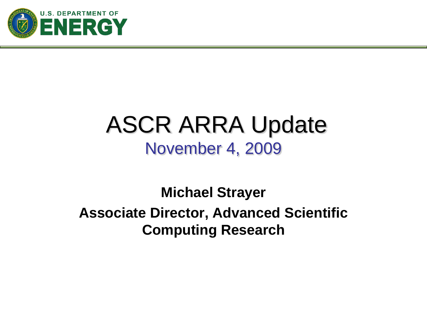

# ASCR ARRA Update November 4, 2009

**Michael Strayer Associate Director, Advanced Scientific Computing Research**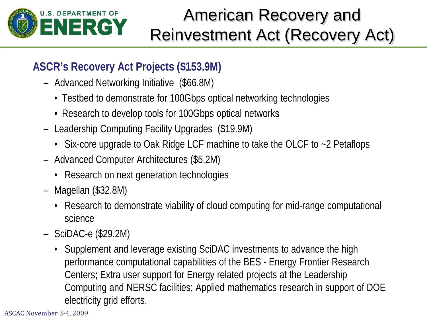

## American Recovery and Reinvestment Act (Recovery Act)

#### **ASCR's Recovery Act Projects (\$153.9M)**

- Advanced Networking Initiative (\$66.8M)
	- Testbed to demonstrate for 100Gbps optical networking technologies
	- Research to develop tools for 100Gbps optical networks
- Leadership Computing Facility Upgrades (\$19.9M)
	- Six-core upgrade to Oak Ridge LCF machine to take the OLCF to ~2 Petaflops
- Advanced Computer Architectures (\$5.2M)
	- Research on next generation technologies
- Magellan (\$32.8M)
	- Research to demonstrate viability of cloud computing for mid-range computational science
- SciDAC-e (\$29.2M)
	- Supplement and leverage existing SciDAC investments to advance the high performance computational capabilities of the BES - Energy Frontier Research Centers; Extra user support for Energy related projects at the Leadership Computing and NERSC facilities; Applied mathematics research in support of DOE electricity grid efforts.

ASCAC November 3-4, 2009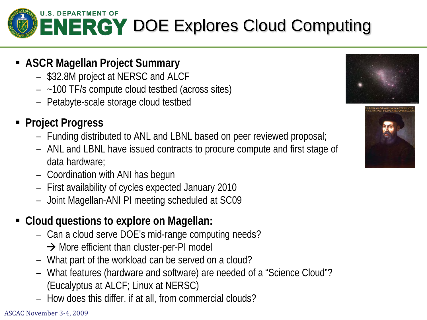

- **ASCR Magellan Project Summary**
	- \$32.8M project at NERSC and ALCF
	- ~100 TF/s compute cloud testbed (across sites)
	- Petabyte-scale storage cloud testbed
- **Project Progress**
	- Funding distributed to ANL and LBNL based on peer reviewed proposal;
	- ANL and LBNL have issued contracts to procure compute and first stage of data hardware;
	- Coordination with ANI has begun
	- First availability of cycles expected January 2010
	- Joint Magellan-ANI PI meeting scheduled at SC09
- **Cloud questions to explore on Magellan:**
	- Can a cloud serve DOE's mid-range computing needs?
		- $\rightarrow$  More efficient than cluster-per-PI model
	- What part of the workload can be served on a cloud?
	- What features (hardware and software) are needed of a "Science Cloud"? (Eucalyptus at ALCF; Linux at NERSC)
	- How does this differ, if at all, from commercial clouds?



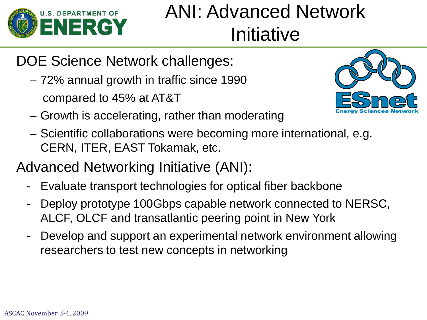

# ANI: Advanced Network Initiative

### DOE Science Network challenges:

– 72% annual growth in traffic since 1990 compared to 45% at AT&T



- Growth is accelerating, rather than moderating
- Scientific collaborations were becoming more international, e.g. CERN, ITER, EAST Tokamak, etc.

### Advanced Networking Initiative (ANI):

- Evaluate transport technologies for optical fiber backbone
- Deploy prototype 100Gbps capable network connected to NERSC, ALCF, OLCF and transatlantic peering point in New York
- Develop and support an experimental network environment allowing researchers to test new concepts in networking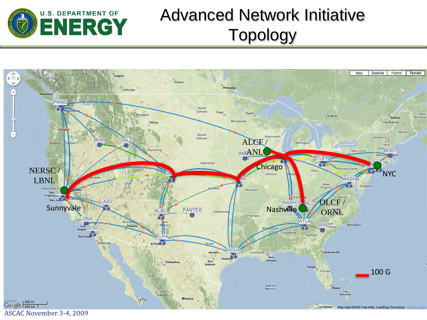

## Advanced Network Initiative Topology

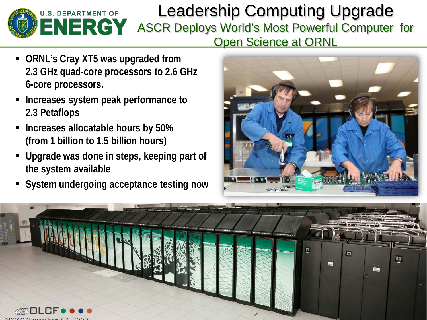

#### Leadership Computing Upgrade ASCR Deploys World's Most Powerful Computer for Open Science at ORNL

- **ORNL's Cray XT5 was upgraded from 2.3 GHz quad-core processors to 2.6 GHz 6-core processors.**
- **Increases system peak performance to 2.3 Petaflops**
- **Increases allocatable hours by 50% (from 1 billion to 1.5 billion hours)**
- **Upgrade was done in steps, keeping part of the system available**
- **System undergoing acceptance testing now**



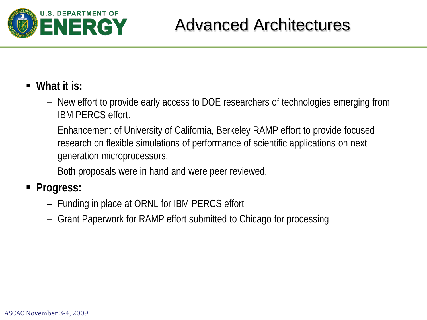

#### **What it is:**

- New effort to provide early access to DOE researchers of technologies emerging from IBM PERCS effort.
- Enhancement of University of California, Berkeley RAMP effort to provide focused research on flexible simulations of performance of scientific applications on next generation microprocessors.
- Both proposals were in hand and were peer reviewed.

#### **Progress:**

- Funding in place at ORNL for IBM PERCS effort
- Grant Paperwork for RAMP effort submitted to Chicago for processing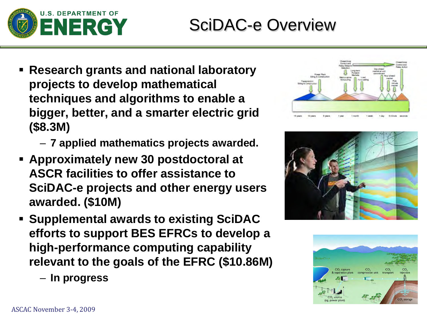

## SciDAC-e Overview

- **Research grants and national laboratory projects to develop mathematical techniques and algorithms to enable a bigger, better, and a smarter electric grid (\$8.3M)**
	- **7 applied mathematics projects awarded.**
- **Approximately new 30 postdoctoral at ASCR facilities to offer assistance to SciDAC-e projects and other energy users awarded. (\$10M)**
- **Supplemental awards to existing SciDAC efforts to support BES EFRCs to develop a high-performance computing capability relevant to the goals of the EFRC (\$10.86M)**
	- **In progress**





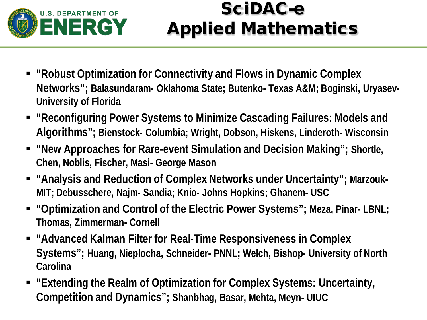

## SciDAC-e Applied Mathematics

- **"Robust Optimization for Connectivity and Flows in Dynamic Complex Networks"; Balasundaram- Oklahoma State; Butenko- Texas A&M; Boginski, Uryasev-University of Florida**
- **"Reconfiguring Power Systems to Minimize Cascading Failures: Models and Algorithms"; Bienstock- Columbia; Wright, Dobson, Hiskens, Linderoth- Wisconsin**
- **"New Approaches for Rare-event Simulation and Decision Making"; Shortle, Chen, Noblis, Fischer, Masi- George Mason**
- **E** "Analysis and Reduction of Complex Networks under Uncertainty"; Marzouk-**MIT; Debusschere, Najm- Sandia; Knio- Johns Hopkins; Ghanem- USC**
- **"Optimization and Control of the Electric Power Systems"; Meza, Pinar- LBNL; Thomas, Zimmerman- Cornell**
- **"Advanced Kalman Filter for Real-Time Responsiveness in Complex Systems"; Huang, Nieplocha, Schneider- PNNL; Welch, Bishop- University of North Carolina**
- **"Extending the Realm of Optimization for Complex Systems: Uncertainty, Competition and Dynamics"; Shanbhag, Basar, Mehta, Meyn- UIUC**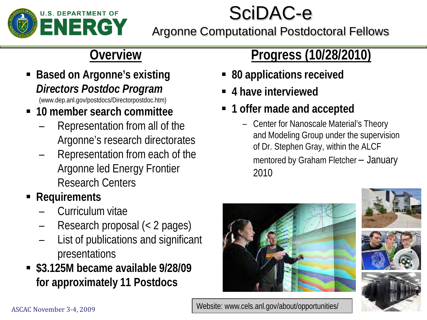

# SciDAC-e

Argonne Computational Postdoctoral Fellows

### **Overview**

- **Based on Argonne's existing** *Directors Postdoc Program* (www.dep.anl.gov/postdocs/Directorpostdoc.htm)
- **10 member search committee**
	- Representation from all of the Argonne's research directorates
	- Representation from each of the Argonne led Energy Frontier Research Centers
- **Requirements**
	- Curriculum vitae
	- Research proposal (< 2 pages)
	- List of publications and significant presentations
- **\$3.125M became available 9/28/09 for approximately 11 Postdocs**

### **Progress (10/28/2010)**

- **80 applications received**
- **4 have interviewed**
- **1 offer made and accepted**
	- Center for Nanoscale Material's Theory and Modeling Group under the supervision of Dr. Stephen Gray, within the ALCF mentored by Graham Fletcher – January 2010







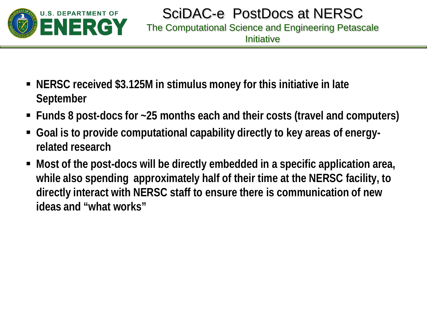

- **NERSC received \$3.125M in stimulus money for this initiative in late September**
- **Funds 8 post-docs for ~25 months each and their costs (travel and computers)**
- **Goal is to provide computational capability directly to key areas of energyrelated research**
- **Most of the post-docs will be directly embedded in a specific application area, while also spending approximately half of their time at the NERSC facility, to directly interact with NERSC staff to ensure there is communication of new ideas and "what works"**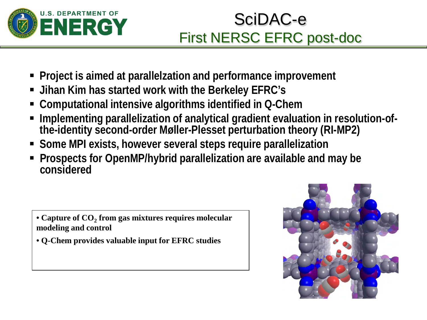

## SciDAC-e First NERSC EFRC post-doc

- **Project is aimed at parallelzation and performance improvement**
- **Jihan Kim has started work with the Berkeley EFRC's**
- **Computational intensive algorithms identified in Q-Chem**
- **Implementing parallelization of analytical gradient evaluation in resolution-of- the-identity second-order Møller-Plesset perturbation theory (RI-MP2)**
- **Some MPI exists, however several steps require parallelization**
- **Prospects for OpenMP/hybrid parallelization are available and may be considered**

• Capture of CO<sub>2</sub> from gas mixtures requires molecular **modeling and control**

• **Q-Chem provides valuable input for EFRC studies**